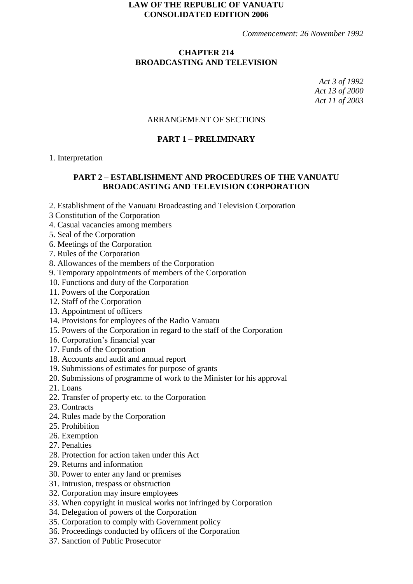### **LAW OF THE REPUBLIC OF VANUATU CONSOLIDATED EDITION 2006**

*Commencement: 26 November 1992*

## **CHAPTER 214 BROADCASTING AND TELEVISION**

*Act 3 of 1992 Act 13 of 2000 Act 11 of 2003*

## ARRANGEMENT OF SECTIONS

## **PART 1 – PRELIMINARY**

#### 1. Interpretation

## **PART 2 – ESTABLISHMENT AND PROCEDURES OF THE VANUATU BROADCASTING AND TELEVISION CORPORATION**

- 2. Establishment of the Vanuatu Broadcasting and Television Corporation
- 3 Constitution of the Corporation
- 4. Casual vacancies among members
- 5. Seal of the Corporation
- 6. Meetings of the Corporation
- 7. Rules of the Corporation
- 8. Allowances of the members of the Corporation
- 9. Temporary appointments of members of the Corporation
- 10. Functions and duty of the Corporation
- 11. Powers of the Corporation
- 12. Staff of the Corporation
- 13. Appointment of officers
- 14. Provisions for employees of the Radio Vanuatu
- 15. Powers of the Corporation in regard to the staff of the Corporation
- 16. Corporation's financial year
- 17. Funds of the Corporation
- 18. Accounts and audit and annual report
- 19. Submissions of estimates for purpose of grants
- 20. Submissions of programme of work to the Minister for his approval
- 21. Loans
- 22. Transfer of property etc. to the Corporation
- 23. Contracts
- 24. Rules made by the Corporation
- 25. Prohibition
- 26. Exemption
- 27. Penalties
- 28. Protection for action taken under this Act
- 29. Returns and information
- 30. Power to enter any land or premises
- 31. Intrusion, trespass or obstruction
- 32. Corporation may insure employees
- 33. When copyright in musical works not infringed by Corporation
- 34. Delegation of powers of the Corporation
- 35. Corporation to comply with Government policy
- 36. Proceedings conducted by officers of the Corporation
- 37. Sanction of Public Prosecutor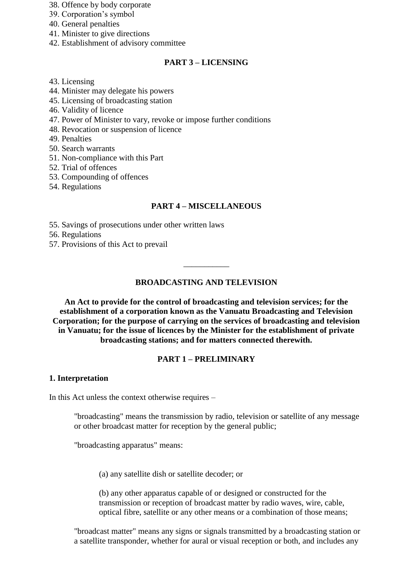- 38. Offence by body corporate
- 39. Corporation's symbol
- 40. General penalties
- 41. Minister to give directions
- 42. Establishment of advisory committee

## **PART 3 – LICENSING**

- 43. Licensing
- 44. Minister may delegate his powers
- 45. Licensing of broadcasting station
- 46. Validity of licence
- 47. Power of Minister to vary, revoke or impose further conditions
- 48. Revocation or suspension of licence
- 49. Penalties
- 50. Search warrants
- 51. Non-compliance with this Part
- 52. Trial of offences
- 53. Compounding of offences
- 54. Regulations

## **PART 4 – MISCELLANEOUS**

55. Savings of prosecutions under other written laws

56. Regulations

57. Provisions of this Act to prevail

## **BROADCASTING AND TELEVISION**

\_\_\_\_\_\_\_\_\_\_\_

**An Act to provide for the control of broadcasting and television services; for the establishment of a corporation known as the Vanuatu Broadcasting and Television Corporation; for the purpose of carrying on the services of broadcasting and television in Vanuatu; for the issue of licences by the Minister for the establishment of private broadcasting stations; and for matters connected therewith.**

## **PART 1 – PRELIMINARY**

### **1. Interpretation**

In this Act unless the context otherwise requires –

"broadcasting" means the transmission by radio, television or satellite of any message or other broadcast matter for reception by the general public;

"broadcasting apparatus" means:

(a) any satellite dish or satellite decoder; or

(b) any other apparatus capable of or designed or constructed for the transmission or reception of broadcast matter by radio waves, wire, cable, optical fibre, satellite or any other means or a combination of those means;

"broadcast matter" means any signs or signals transmitted by a broadcasting station or a satellite transponder, whether for aural or visual reception or both, and includes any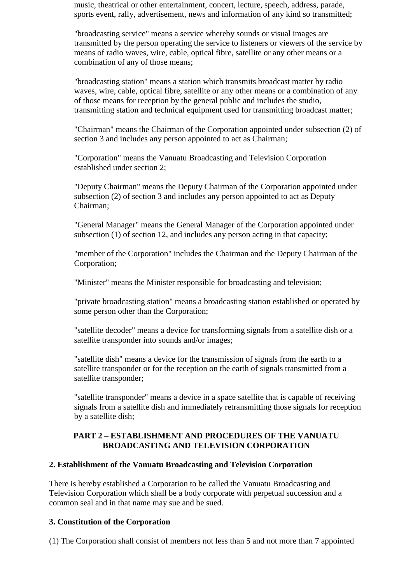music, theatrical or other entertainment, concert, lecture, speech, address, parade, sports event, rally, advertisement, news and information of any kind so transmitted;

"broadcasting service" means a service whereby sounds or visual images are transmitted by the person operating the service to listeners or viewers of the service by means of radio waves, wire, cable, optical fibre, satellite or any other means or a combination of any of those means;

"broadcasting station" means a station which transmits broadcast matter by radio waves, wire, cable, optical fibre, satellite or any other means or a combination of any of those means for reception by the general public and includes the studio, transmitting station and technical equipment used for transmitting broadcast matter;

"Chairman" means the Chairman of the Corporation appointed under subsection (2) of section 3 and includes any person appointed to act as Chairman;

"Corporation" means the Vanuatu Broadcasting and Television Corporation established under section 2;

"Deputy Chairman" means the Deputy Chairman of the Corporation appointed under subsection (2) of section 3 and includes any person appointed to act as Deputy Chairman;

"General Manager" means the General Manager of the Corporation appointed under subsection (1) of section 12, and includes any person acting in that capacity;

"member of the Corporation" includes the Chairman and the Deputy Chairman of the Corporation;

"Minister" means the Minister responsible for broadcasting and television;

"private broadcasting station" means a broadcasting station established or operated by some person other than the Corporation;

"satellite decoder" means a device for transforming signals from a satellite dish or a satellite transponder into sounds and/or images;

"satellite dish" means a device for the transmission of signals from the earth to a satellite transponder or for the reception on the earth of signals transmitted from a satellite transponder;

"satellite transponder" means a device in a space satellite that is capable of receiving signals from a satellite dish and immediately retransmitting those signals for reception by a satellite dish;

## **PART 2 – ESTABLISHMENT AND PROCEDURES OF THE VANUATU BROADCASTING AND TELEVISION CORPORATION**

### **2. Establishment of the Vanuatu Broadcasting and Television Corporation**

There is hereby established a Corporation to be called the Vanuatu Broadcasting and Television Corporation which shall be a body corporate with perpetual succession and a common seal and in that name may sue and be sued.

### **3. Constitution of the Corporation**

(1) The Corporation shall consist of members not less than 5 and not more than 7 appointed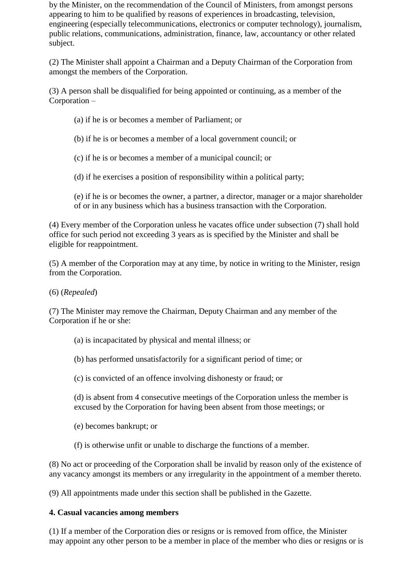by the Minister, on the recommendation of the Council of Ministers, from amongst persons appearing to him to be qualified by reasons of experiences in broadcasting, television, engineering (especially telecommunications, electronics or computer technology), journalism, public relations, communications, administration, finance, law, accountancy or other related subject.

(2) The Minister shall appoint a Chairman and a Deputy Chairman of the Corporation from amongst the members of the Corporation.

(3) A person shall be disqualified for being appointed or continuing, as a member of the Corporation –

(a) if he is or becomes a member of Parliament; or

(b) if he is or becomes a member of a local government council; or

(c) if he is or becomes a member of a municipal council; or

(d) if he exercises a position of responsibility within a political party;

(e) if he is or becomes the owner, a partner, a director, manager or a major shareholder of or in any business which has a business transaction with the Corporation.

(4) Every member of the Corporation unless he vacates office under subsection (7) shall hold office for such period not exceeding 3 years as is specified by the Minister and shall be eligible for reappointment.

(5) A member of the Corporation may at any time, by notice in writing to the Minister, resign from the Corporation.

(6) (*Repealed*)

(7) The Minister may remove the Chairman, Deputy Chairman and any member of the Corporation if he or she:

(a) is incapacitated by physical and mental illness; or

(b) has performed unsatisfactorily for a significant period of time; or

(c) is convicted of an offence involving dishonesty or fraud; or

(d) is absent from 4 consecutive meetings of the Corporation unless the member is excused by the Corporation for having been absent from those meetings; or

(e) becomes bankrupt; or

(f) is otherwise unfit or unable to discharge the functions of a member.

(8) No act or proceeding of the Corporation shall be invalid by reason only of the existence of any vacancy amongst its members or any irregularity in the appointment of a member thereto.

(9) All appointments made under this section shall be published in the Gazette.

## **4. Casual vacancies among members**

(1) If a member of the Corporation dies or resigns or is removed from office, the Minister may appoint any other person to be a member in place of the member who dies or resigns or is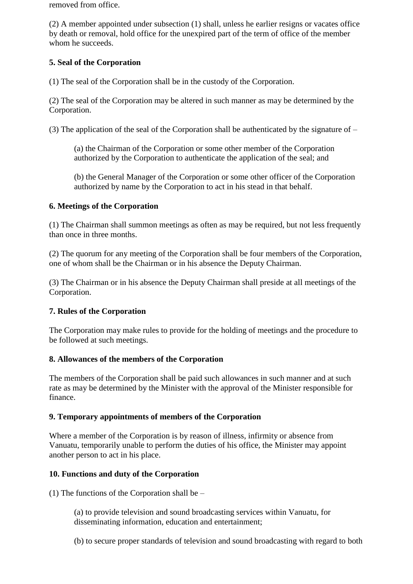removed from office.

(2) A member appointed under subsection (1) shall, unless he earlier resigns or vacates office by death or removal, hold office for the unexpired part of the term of office of the member whom he succeeds.

# **5. Seal of the Corporation**

(1) The seal of the Corporation shall be in the custody of the Corporation.

(2) The seal of the Corporation may be altered in such manner as may be determined by the Corporation.

(3) The application of the seal of the Corporation shall be authenticated by the signature of –

(a) the Chairman of the Corporation or some other member of the Corporation authorized by the Corporation to authenticate the application of the seal; and

(b) the General Manager of the Corporation or some other officer of the Corporation authorized by name by the Corporation to act in his stead in that behalf.

## **6. Meetings of the Corporation**

(1) The Chairman shall summon meetings as often as may be required, but not less frequently than once in three months.

(2) The quorum for any meeting of the Corporation shall be four members of the Corporation, one of whom shall be the Chairman or in his absence the Deputy Chairman.

(3) The Chairman or in his absence the Deputy Chairman shall preside at all meetings of the Corporation.

## **7. Rules of the Corporation**

The Corporation may make rules to provide for the holding of meetings and the procedure to be followed at such meetings.

## **8. Allowances of the members of the Corporation**

The members of the Corporation shall be paid such allowances in such manner and at such rate as may be determined by the Minister with the approval of the Minister responsible for finance.

## **9. Temporary appointments of members of the Corporation**

Where a member of the Corporation is by reason of illness, infirmity or absence from Vanuatu, temporarily unable to perform the duties of his office, the Minister may appoint another person to act in his place.

## **10. Functions and duty of the Corporation**

(1) The functions of the Corporation shall be –

(a) to provide television and sound broadcasting services within Vanuatu, for disseminating information, education and entertainment;

(b) to secure proper standards of television and sound broadcasting with regard to both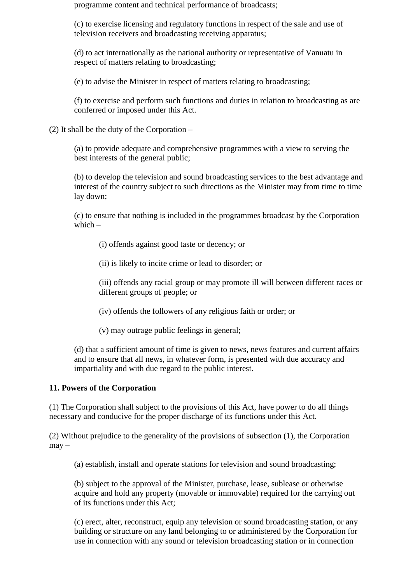programme content and technical performance of broadcasts;

(c) to exercise licensing and regulatory functions in respect of the sale and use of television receivers and broadcasting receiving apparatus;

(d) to act internationally as the national authority or representative of Vanuatu in respect of matters relating to broadcasting;

(e) to advise the Minister in respect of matters relating to broadcasting;

(f) to exercise and perform such functions and duties in relation to broadcasting as are conferred or imposed under this Act.

(2) It shall be the duty of the Corporation –

(a) to provide adequate and comprehensive programmes with a view to serving the best interests of the general public;

(b) to develop the television and sound broadcasting services to the best advantage and interest of the country subject to such directions as the Minister may from time to time lay down;

(c) to ensure that nothing is included in the programmes broadcast by the Corporation which –

(i) offends against good taste or decency; or

(ii) is likely to incite crime or lead to disorder; or

(iii) offends any racial group or may promote ill will between different races or different groups of people; or

(iv) offends the followers of any religious faith or order; or

(v) may outrage public feelings in general;

(d) that a sufficient amount of time is given to news, news features and current affairs and to ensure that all news, in whatever form, is presented with due accuracy and impartiality and with due regard to the public interest.

## **11. Powers of the Corporation**

(1) The Corporation shall subject to the provisions of this Act, have power to do all things necessary and conducive for the proper discharge of its functions under this Act.

(2) Without prejudice to the generality of the provisions of subsection (1), the Corporation  $may -$ 

(a) establish, install and operate stations for television and sound broadcasting;

(b) subject to the approval of the Minister, purchase, lease, sublease or otherwise acquire and hold any property (movable or immovable) required for the carrying out of its functions under this Act;

(c) erect, alter, reconstruct, equip any television or sound broadcasting station, or any building or structure on any land belonging to or administered by the Corporation for use in connection with any sound or television broadcasting station or in connection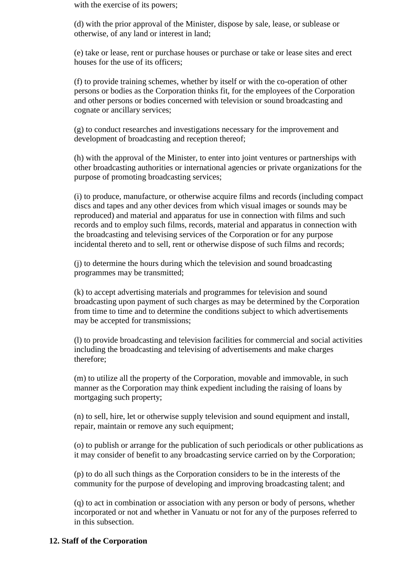with the exercise of its powers;

(d) with the prior approval of the Minister, dispose by sale, lease, or sublease or otherwise, of any land or interest in land;

(e) take or lease, rent or purchase houses or purchase or take or lease sites and erect houses for the use of its officers;

(f) to provide training schemes, whether by itself or with the co-operation of other persons or bodies as the Corporation thinks fit, for the employees of the Corporation and other persons or bodies concerned with television or sound broadcasting and cognate or ancillary services;

(g) to conduct researches and investigations necessary for the improvement and development of broadcasting and reception thereof;

(h) with the approval of the Minister, to enter into joint ventures or partnerships with other broadcasting authorities or international agencies or private organizations for the purpose of promoting broadcasting services;

(i) to produce, manufacture, or otherwise acquire films and records (including compact discs and tapes and any other devices from which visual images or sounds may be reproduced) and material and apparatus for use in connection with films and such records and to employ such films, records, material and apparatus in connection with the broadcasting and televising services of the Corporation or for any purpose incidental thereto and to sell, rent or otherwise dispose of such films and records;

(j) to determine the hours during which the television and sound broadcasting programmes may be transmitted;

(k) to accept advertising materials and programmes for television and sound broadcasting upon payment of such charges as may be determined by the Corporation from time to time and to determine the conditions subject to which advertisements may be accepted for transmissions;

(l) to provide broadcasting and television facilities for commercial and social activities including the broadcasting and televising of advertisements and make charges therefore;

(m) to utilize all the property of the Corporation, movable and immovable, in such manner as the Corporation may think expedient including the raising of loans by mortgaging such property;

(n) to sell, hire, let or otherwise supply television and sound equipment and install, repair, maintain or remove any such equipment;

(o) to publish or arrange for the publication of such periodicals or other publications as it may consider of benefit to any broadcasting service carried on by the Corporation;

(p) to do all such things as the Corporation considers to be in the interests of the community for the purpose of developing and improving broadcasting talent; and

(q) to act in combination or association with any person or body of persons, whether incorporated or not and whether in Vanuatu or not for any of the purposes referred to in this subsection.

### **12. Staff of the Corporation**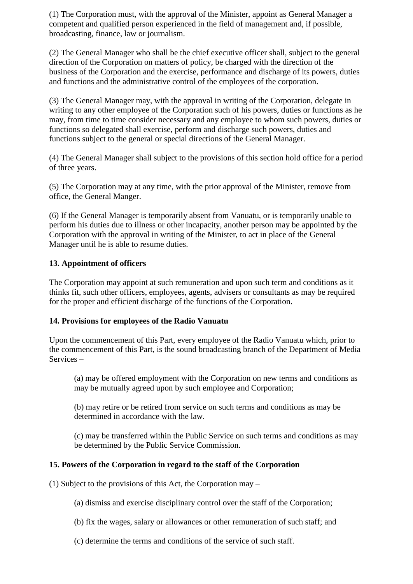(1) The Corporation must, with the approval of the Minister, appoint as General Manager a competent and qualified person experienced in the field of management and, if possible, broadcasting, finance, law or journalism.

(2) The General Manager who shall be the chief executive officer shall, subject to the general direction of the Corporation on matters of policy, be charged with the direction of the business of the Corporation and the exercise, performance and discharge of its powers, duties and functions and the administrative control of the employees of the corporation.

(3) The General Manager may, with the approval in writing of the Corporation, delegate in writing to any other employee of the Corporation such of his powers, duties or functions as he may, from time to time consider necessary and any employee to whom such powers, duties or functions so delegated shall exercise, perform and discharge such powers, duties and functions subject to the general or special directions of the General Manager.

(4) The General Manager shall subject to the provisions of this section hold office for a period of three years.

(5) The Corporation may at any time, with the prior approval of the Minister, remove from office, the General Manger.

(6) If the General Manager is temporarily absent from Vanuatu, or is temporarily unable to perform his duties due to illness or other incapacity, another person may be appointed by the Corporation with the approval in writing of the Minister, to act in place of the General Manager until he is able to resume duties.

## **13. Appointment of officers**

The Corporation may appoint at such remuneration and upon such term and conditions as it thinks fit, such other officers, employees, agents, advisers or consultants as may be required for the proper and efficient discharge of the functions of the Corporation.

## **14. Provisions for employees of the Radio Vanuatu**

Upon the commencement of this Part, every employee of the Radio Vanuatu which, prior to the commencement of this Part, is the sound broadcasting branch of the Department of Media Services –

(a) may be offered employment with the Corporation on new terms and conditions as may be mutually agreed upon by such employee and Corporation;

(b) may retire or be retired from service on such terms and conditions as may be determined in accordance with the law.

(c) may be transferred within the Public Service on such terms and conditions as may be determined by the Public Service Commission.

## **15. Powers of the Corporation in regard to the staff of the Corporation**

(1) Subject to the provisions of this Act, the Corporation may –

(a) dismiss and exercise disciplinary control over the staff of the Corporation;

(b) fix the wages, salary or allowances or other remuneration of such staff; and

(c) determine the terms and conditions of the service of such staff.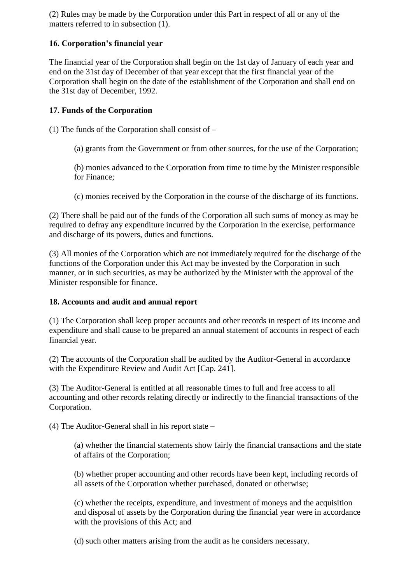(2) Rules may be made by the Corporation under this Part in respect of all or any of the matters referred to in subsection (1).

# **16. Corporation's financial year**

The financial year of the Corporation shall begin on the 1st day of January of each year and end on the 31st day of December of that year except that the first financial year of the Corporation shall begin on the date of the establishment of the Corporation and shall end on the 31st day of December, 1992.

# **17. Funds of the Corporation**

(1) The funds of the Corporation shall consist of –

(a) grants from the Government or from other sources, for the use of the Corporation;

(b) monies advanced to the Corporation from time to time by the Minister responsible for Finance;

(c) monies received by the Corporation in the course of the discharge of its functions.

(2) There shall be paid out of the funds of the Corporation all such sums of money as may be required to defray any expenditure incurred by the Corporation in the exercise, performance and discharge of its powers, duties and functions.

(3) All monies of the Corporation which are not immediately required for the discharge of the functions of the Corporation under this Act may be invested by the Corporation in such manner, or in such securities, as may be authorized by the Minister with the approval of the Minister responsible for finance.

## **18. Accounts and audit and annual report**

(1) The Corporation shall keep proper accounts and other records in respect of its income and expenditure and shall cause to be prepared an annual statement of accounts in respect of each financial year.

(2) The accounts of the Corporation shall be audited by the Auditor-General in accordance with the Expenditure Review and Audit Act [Cap. 241].

(3) The Auditor-General is entitled at all reasonable times to full and free access to all accounting and other records relating directly or indirectly to the financial transactions of the Corporation.

(4) The Auditor-General shall in his report state –

(a) whether the financial statements show fairly the financial transactions and the state of affairs of the Corporation;

(b) whether proper accounting and other records have been kept, including records of all assets of the Corporation whether purchased, donated or otherwise;

(c) whether the receipts, expenditure, and investment of moneys and the acquisition and disposal of assets by the Corporation during the financial year were in accordance with the provisions of this Act; and

(d) such other matters arising from the audit as he considers necessary.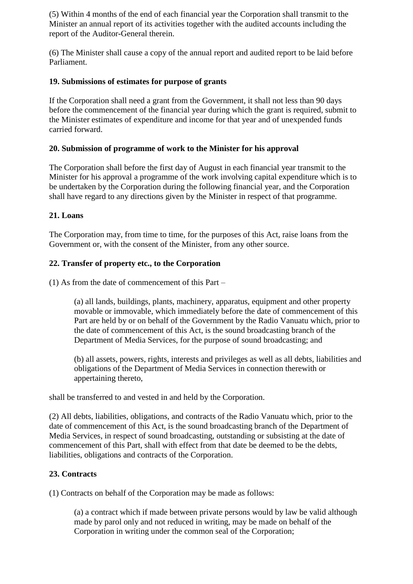(5) Within 4 months of the end of each financial year the Corporation shall transmit to the Minister an annual report of its activities together with the audited accounts including the report of the Auditor-General therein.

(6) The Minister shall cause a copy of the annual report and audited report to be laid before Parliament.

# **19. Submissions of estimates for purpose of grants**

If the Corporation shall need a grant from the Government, it shall not less than 90 days before the commencement of the financial year during which the grant is required, submit to the Minister estimates of expenditure and income for that year and of unexpended funds carried forward.

## **20. Submission of programme of work to the Minister for his approval**

The Corporation shall before the first day of August in each financial year transmit to the Minister for his approval a programme of the work involving capital expenditure which is to be undertaken by the Corporation during the following financial year, and the Corporation shall have regard to any directions given by the Minister in respect of that programme.

## **21. Loans**

The Corporation may, from time to time, for the purposes of this Act, raise loans from the Government or, with the consent of the Minister, from any other source.

## **22. Transfer of property etc., to the Corporation**

(1) As from the date of commencement of this Part –

(a) all lands, buildings, plants, machinery, apparatus, equipment and other property movable or immovable, which immediately before the date of commencement of this Part are held by or on behalf of the Government by the Radio Vanuatu which, prior to the date of commencement of this Act, is the sound broadcasting branch of the Department of Media Services, for the purpose of sound broadcasting; and

(b) all assets, powers, rights, interests and privileges as well as all debts, liabilities and obligations of the Department of Media Services in connection therewith or appertaining thereto,

shall be transferred to and vested in and held by the Corporation.

(2) All debts, liabilities, obligations, and contracts of the Radio Vanuatu which, prior to the date of commencement of this Act, is the sound broadcasting branch of the Department of Media Services, in respect of sound broadcasting, outstanding or subsisting at the date of commencement of this Part, shall with effect from that date be deemed to be the debts, liabilities, obligations and contracts of the Corporation.

## **23. Contracts**

(1) Contracts on behalf of the Corporation may be made as follows:

(a) a contract which if made between private persons would by law be valid although made by parol only and not reduced in writing, may be made on behalf of the Corporation in writing under the common seal of the Corporation;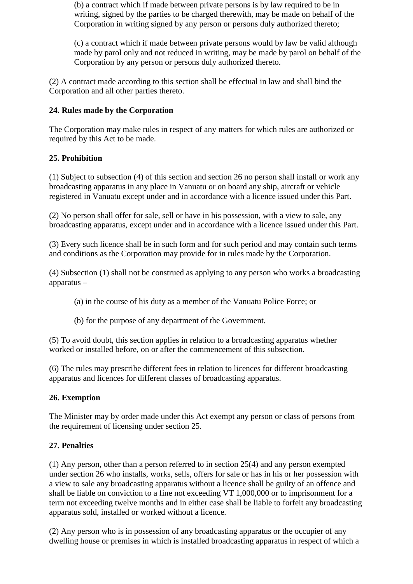(b) a contract which if made between private persons is by law required to be in writing, signed by the parties to be charged therewith, may be made on behalf of the Corporation in writing signed by any person or persons duly authorized thereto;

(c) a contract which if made between private persons would by law be valid although made by parol only and not reduced in writing, may be made by parol on behalf of the Corporation by any person or persons duly authorized thereto.

(2) A contract made according to this section shall be effectual in law and shall bind the Corporation and all other parties thereto.

# **24. Rules made by the Corporation**

The Corporation may make rules in respect of any matters for which rules are authorized or required by this Act to be made.

## **25. Prohibition**

(1) Subject to subsection (4) of this section and section 26 no person shall install or work any broadcasting apparatus in any place in Vanuatu or on board any ship, aircraft or vehicle registered in Vanuatu except under and in accordance with a licence issued under this Part.

(2) No person shall offer for sale, sell or have in his possession, with a view to sale, any broadcasting apparatus, except under and in accordance with a licence issued under this Part.

(3) Every such licence shall be in such form and for such period and may contain such terms and conditions as the Corporation may provide for in rules made by the Corporation.

(4) Subsection (1) shall not be construed as applying to any person who works a broadcasting apparatus –

(a) in the course of his duty as a member of the Vanuatu Police Force; or

(b) for the purpose of any department of the Government.

(5) To avoid doubt, this section applies in relation to a broadcasting apparatus whether worked or installed before, on or after the commencement of this subsection.

(6) The rules may prescribe different fees in relation to licences for different broadcasting apparatus and licences for different classes of broadcasting apparatus.

## **26. Exemption**

The Minister may by order made under this Act exempt any person or class of persons from the requirement of licensing under section 25.

## **27. Penalties**

(1) Any person, other than a person referred to in section 25(4) and any person exempted under section 26 who installs, works, sells, offers for sale or has in his or her possession with a view to sale any broadcasting apparatus without a licence shall be guilty of an offence and shall be liable on conviction to a fine not exceeding VT 1,000,000 or to imprisonment for a term not exceeding twelve months and in either case shall be liable to forfeit any broadcasting apparatus sold, installed or worked without a licence.

(2) Any person who is in possession of any broadcasting apparatus or the occupier of any dwelling house or premises in which is installed broadcasting apparatus in respect of which a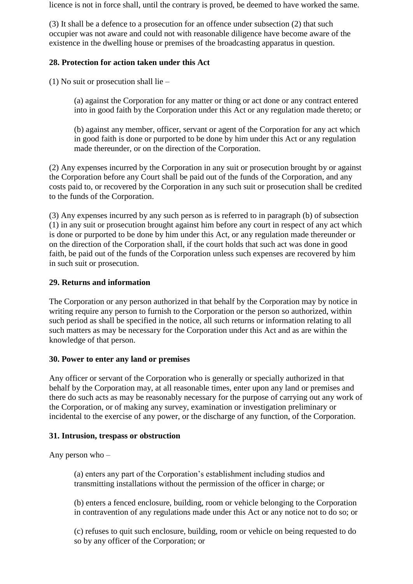licence is not in force shall, until the contrary is proved, be deemed to have worked the same.

(3) It shall be a defence to a prosecution for an offence under subsection (2) that such occupier was not aware and could not with reasonable diligence have become aware of the existence in the dwelling house or premises of the broadcasting apparatus in question.

## **28. Protection for action taken under this Act**

(1) No suit or prosecution shall lie –

(a) against the Corporation for any matter or thing or act done or any contract entered into in good faith by the Corporation under this Act or any regulation made thereto; or

(b) against any member, officer, servant or agent of the Corporation for any act which in good faith is done or purported to be done by him under this Act or any regulation made thereunder, or on the direction of the Corporation.

(2) Any expenses incurred by the Corporation in any suit or prosecution brought by or against the Corporation before any Court shall be paid out of the funds of the Corporation, and any costs paid to, or recovered by the Corporation in any such suit or prosecution shall be credited to the funds of the Corporation.

(3) Any expenses incurred by any such person as is referred to in paragraph (b) of subsection (1) in any suit or prosecution brought against him before any court in respect of any act which is done or purported to be done by him under this Act, or any regulation made thereunder or on the direction of the Corporation shall, if the court holds that such act was done in good faith, be paid out of the funds of the Corporation unless such expenses are recovered by him in such suit or prosecution.

## **29. Returns and information**

The Corporation or any person authorized in that behalf by the Corporation may by notice in writing require any person to furnish to the Corporation or the person so authorized, within such period as shall be specified in the notice, all such returns or information relating to all such matters as may be necessary for the Corporation under this Act and as are within the knowledge of that person.

## **30. Power to enter any land or premises**

Any officer or servant of the Corporation who is generally or specially authorized in that behalf by the Corporation may, at all reasonable times, enter upon any land or premises and there do such acts as may be reasonably necessary for the purpose of carrying out any work of the Corporation, or of making any survey, examination or investigation preliminary or incidental to the exercise of any power, or the discharge of any function, of the Corporation.

## **31. Intrusion, trespass or obstruction**

Any person who –

(a) enters any part of the Corporation's establishment including studios and transmitting installations without the permission of the officer in charge; or

(b) enters a fenced enclosure, building, room or vehicle belonging to the Corporation in contravention of any regulations made under this Act or any notice not to do so; or

(c) refuses to quit such enclosure, building, room or vehicle on being requested to do so by any officer of the Corporation; or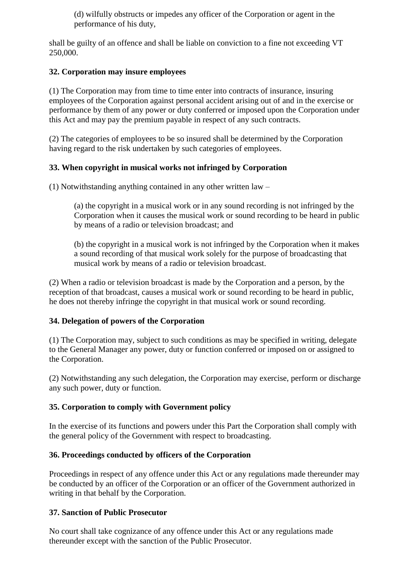(d) wilfully obstructs or impedes any officer of the Corporation or agent in the performance of his duty,

shall be guilty of an offence and shall be liable on conviction to a fine not exceeding VT 250,000.

## **32. Corporation may insure employees**

(1) The Corporation may from time to time enter into contracts of insurance, insuring employees of the Corporation against personal accident arising out of and in the exercise or performance by them of any power or duty conferred or imposed upon the Corporation under this Act and may pay the premium payable in respect of any such contracts.

(2) The categories of employees to be so insured shall be determined by the Corporation having regard to the risk undertaken by such categories of employees.

## **33. When copyright in musical works not infringed by Corporation**

(1) Notwithstanding anything contained in any other written law –

(a) the copyright in a musical work or in any sound recording is not infringed by the Corporation when it causes the musical work or sound recording to be heard in public by means of a radio or television broadcast; and

(b) the copyright in a musical work is not infringed by the Corporation when it makes a sound recording of that musical work solely for the purpose of broadcasting that musical work by means of a radio or television broadcast.

(2) When a radio or television broadcast is made by the Corporation and a person, by the reception of that broadcast, causes a musical work or sound recording to be heard in public, he does not thereby infringe the copyright in that musical work or sound recording.

## **34. Delegation of powers of the Corporation**

(1) The Corporation may, subject to such conditions as may be specified in writing, delegate to the General Manager any power, duty or function conferred or imposed on or assigned to the Corporation.

(2) Notwithstanding any such delegation, the Corporation may exercise, perform or discharge any such power, duty or function.

## **35. Corporation to comply with Government policy**

In the exercise of its functions and powers under this Part the Corporation shall comply with the general policy of the Government with respect to broadcasting.

## **36. Proceedings conducted by officers of the Corporation**

Proceedings in respect of any offence under this Act or any regulations made thereunder may be conducted by an officer of the Corporation or an officer of the Government authorized in writing in that behalf by the Corporation.

## **37. Sanction of Public Prosecutor**

No court shall take cognizance of any offence under this Act or any regulations made thereunder except with the sanction of the Public Prosecutor.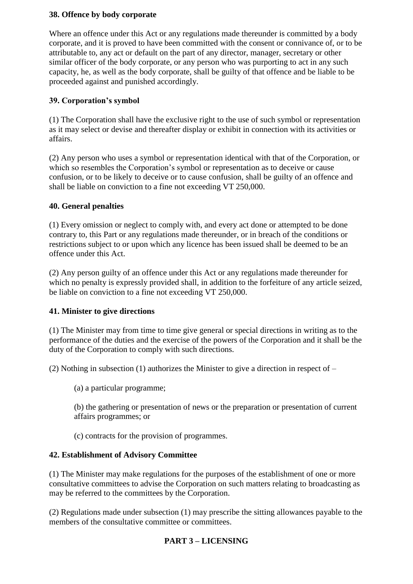## **38. Offence by body corporate**

Where an offence under this Act or any regulations made thereunder is committed by a body corporate, and it is proved to have been committed with the consent or connivance of, or to be attributable to, any act or default on the part of any director, manager, secretary or other similar officer of the body corporate, or any person who was purporting to act in any such capacity, he, as well as the body corporate, shall be guilty of that offence and be liable to be proceeded against and punished accordingly.

## **39. Corporation's symbol**

(1) The Corporation shall have the exclusive right to the use of such symbol or representation as it may select or devise and thereafter display or exhibit in connection with its activities or affairs.

(2) Any person who uses a symbol or representation identical with that of the Corporation, or which so resembles the Corporation's symbol or representation as to deceive or cause confusion, or to be likely to deceive or to cause confusion, shall be guilty of an offence and shall be liable on conviction to a fine not exceeding VT 250,000.

## **40. General penalties**

(1) Every omission or neglect to comply with, and every act done or attempted to be done contrary to, this Part or any regulations made thereunder, or in breach of the conditions or restrictions subject to or upon which any licence has been issued shall be deemed to be an offence under this Act.

(2) Any person guilty of an offence under this Act or any regulations made thereunder for which no penalty is expressly provided shall, in addition to the forfeiture of any article seized, be liable on conviction to a fine not exceeding VT 250,000.

## **41. Minister to give directions**

(1) The Minister may from time to time give general or special directions in writing as to the performance of the duties and the exercise of the powers of the Corporation and it shall be the duty of the Corporation to comply with such directions.

(2) Nothing in subsection (1) authorizes the Minister to give a direction in respect of –

(a) a particular programme;

(b) the gathering or presentation of news or the preparation or presentation of current affairs programmes; or

(c) contracts for the provision of programmes.

## **42. Establishment of Advisory Committee**

(1) The Minister may make regulations for the purposes of the establishment of one or more consultative committees to advise the Corporation on such matters relating to broadcasting as may be referred to the committees by the Corporation.

(2) Regulations made under subsection (1) may prescribe the sitting allowances payable to the members of the consultative committee or committees.

## **PART 3 – LICENSING**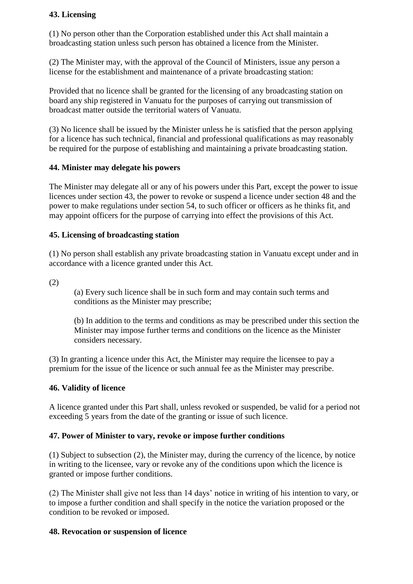# **43. Licensing**

(1) No person other than the Corporation established under this Act shall maintain a broadcasting station unless such person has obtained a licence from the Minister.

(2) The Minister may, with the approval of the Council of Ministers, issue any person a license for the establishment and maintenance of a private broadcasting station:

Provided that no licence shall be granted for the licensing of any broadcasting station on board any ship registered in Vanuatu for the purposes of carrying out transmission of broadcast matter outside the territorial waters of Vanuatu.

(3) No licence shall be issued by the Minister unless he is satisfied that the person applying for a licence has such technical, financial and professional qualifications as may reasonably be required for the purpose of establishing and maintaining a private broadcasting station.

## **44. Minister may delegate his powers**

The Minister may delegate all or any of his powers under this Part, except the power to issue licences under section 43, the power to revoke or suspend a licence under section 48 and the power to make regulations under section 54, to such officer or officers as he thinks fit, and may appoint officers for the purpose of carrying into effect the provisions of this Act.

## **45. Licensing of broadcasting station**

(1) No person shall establish any private broadcasting station in Vanuatu except under and in accordance with a licence granted under this Act.

(2)

(a) Every such licence shall be in such form and may contain such terms and conditions as the Minister may prescribe;

(b) In addition to the terms and conditions as may be prescribed under this section the Minister may impose further terms and conditions on the licence as the Minister considers necessary.

(3) In granting a licence under this Act, the Minister may require the licensee to pay a premium for the issue of the licence or such annual fee as the Minister may prescribe.

### **46. Validity of licence**

A licence granted under this Part shall, unless revoked or suspended, be valid for a period not exceeding 5 years from the date of the granting or issue of such licence.

### **47. Power of Minister to vary, revoke or impose further conditions**

(1) Subject to subsection (2), the Minister may, during the currency of the licence, by notice in writing to the licensee, vary or revoke any of the conditions upon which the licence is granted or impose further conditions.

(2) The Minister shall give not less than 14 days' notice in writing of his intention to vary, or to impose a further condition and shall specify in the notice the variation proposed or the condition to be revoked or imposed.

### **48. Revocation or suspension of licence**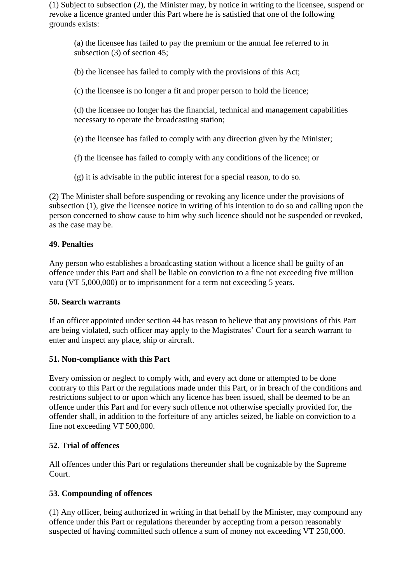(1) Subject to subsection (2), the Minister may, by notice in writing to the licensee, suspend or revoke a licence granted under this Part where he is satisfied that one of the following grounds exists:

(a) the licensee has failed to pay the premium or the annual fee referred to in subsection (3) of section 45;

(b) the licensee has failed to comply with the provisions of this Act;

(c) the licensee is no longer a fit and proper person to hold the licence;

(d) the licensee no longer has the financial, technical and management capabilities necessary to operate the broadcasting station;

(e) the licensee has failed to comply with any direction given by the Minister;

(f) the licensee has failed to comply with any conditions of the licence; or

(g) it is advisable in the public interest for a special reason, to do so.

(2) The Minister shall before suspending or revoking any licence under the provisions of subsection (1), give the licensee notice in writing of his intention to do so and calling upon the person concerned to show cause to him why such licence should not be suspended or revoked, as the case may be.

# **49. Penalties**

Any person who establishes a broadcasting station without a licence shall be guilty of an offence under this Part and shall be liable on conviction to a fine not exceeding five million vatu (VT 5,000,000) or to imprisonment for a term not exceeding 5 years.

## **50. Search warrants**

If an officer appointed under section 44 has reason to believe that any provisions of this Part are being violated, such officer may apply to the Magistrates' Court for a search warrant to enter and inspect any place, ship or aircraft.

## **51. Non-compliance with this Part**

Every omission or neglect to comply with, and every act done or attempted to be done contrary to this Part or the regulations made under this Part, or in breach of the conditions and restrictions subject to or upon which any licence has been issued, shall be deemed to be an offence under this Part and for every such offence not otherwise specially provided for, the offender shall, in addition to the forfeiture of any articles seized, be liable on conviction to a fine not exceeding VT 500,000.

## **52. Trial of offences**

All offences under this Part or regulations thereunder shall be cognizable by the Supreme Court.

# **53. Compounding of offences**

(1) Any officer, being authorized in writing in that behalf by the Minister, may compound any offence under this Part or regulations thereunder by accepting from a person reasonably suspected of having committed such offence a sum of money not exceeding VT 250,000.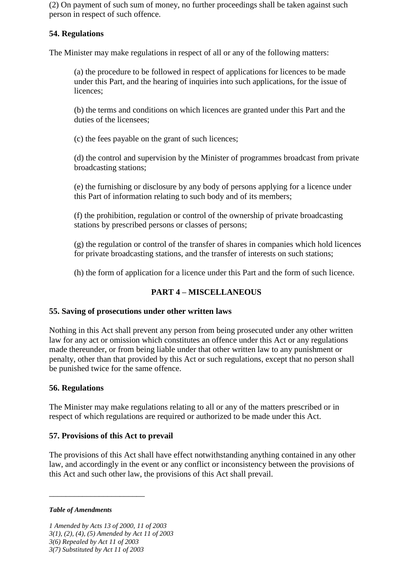(2) On payment of such sum of money, no further proceedings shall be taken against such person in respect of such offence.

# **54. Regulations**

The Minister may make regulations in respect of all or any of the following matters:

(a) the procedure to be followed in respect of applications for licences to be made under this Part, and the hearing of inquiries into such applications, for the issue of licences;

(b) the terms and conditions on which licences are granted under this Part and the duties of the licensees;

(c) the fees payable on the grant of such licences;

(d) the control and supervision by the Minister of programmes broadcast from private broadcasting stations;

(e) the furnishing or disclosure by any body of persons applying for a licence under this Part of information relating to such body and of its members;

(f) the prohibition, regulation or control of the ownership of private broadcasting stations by prescribed persons or classes of persons;

(g) the regulation or control of the transfer of shares in companies which hold licences for private broadcasting stations, and the transfer of interests on such stations;

(h) the form of application for a licence under this Part and the form of such licence.

# **PART 4 – MISCELLANEOUS**

### **55. Saving of prosecutions under other written laws**

Nothing in this Act shall prevent any person from being prosecuted under any other written law for any act or omission which constitutes an offence under this Act or any regulations made thereunder, or from being liable under that other written law to any punishment or penalty, other than that provided by this Act or such regulations, except that no person shall be punished twice for the same offence.

## **56. Regulations**

The Minister may make regulations relating to all or any of the matters prescribed or in respect of which regulations are required or authorized to be made under this Act.

### **57. Provisions of this Act to prevail**

The provisions of this Act shall have effect notwithstanding anything contained in any other law, and accordingly in the event or any conflict or inconsistency between the provisions of this Act and such other law, the provisions of this Act shall prevail.

#### *Table of Amendments*

\_\_\_\_\_\_\_\_\_\_\_\_\_\_\_\_\_\_\_\_\_\_\_

*1 Amended by Acts 13 of 2000, 11 of 2003 3(1), (2), (4), (5) Amended by Act 11 of 2003 3(6) Repealed by Act 11 of 2003 3(7) Substituted by Act 11 of 2003*